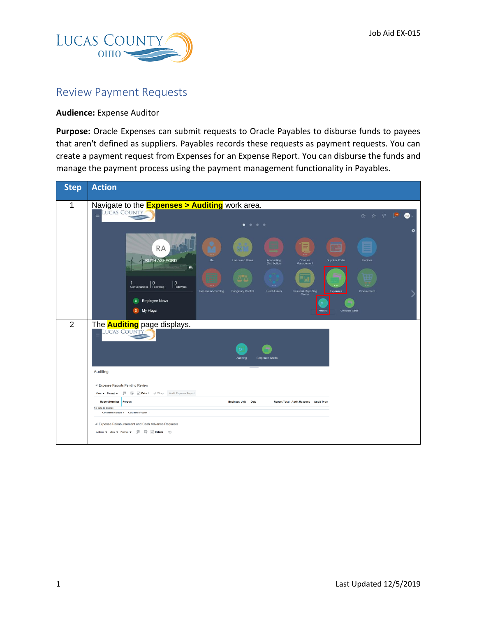

## Review Payment Requests

## **Audience:** Expense Auditor

**Purpose:** Oracle Expenses can submit requests to Oracle Payables to disburse funds to payees that aren't defined as suppliers. Payables records these requests as payment requests. You can create a payment request from Expenses for an Expense Report. You can disburse the funds and manage the payment process using the payment management functionality in Payables.

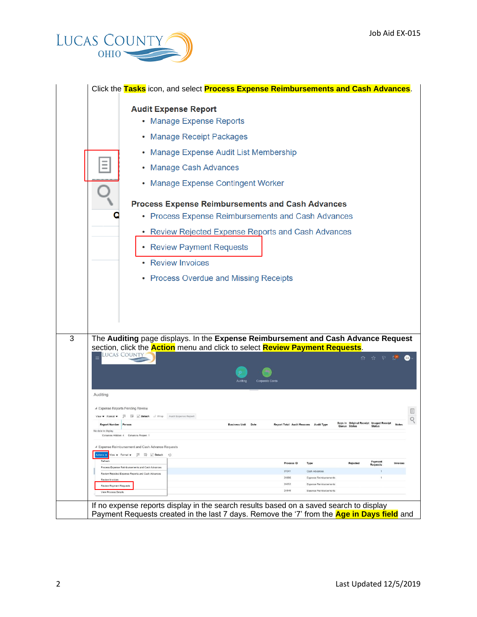

|                                                   | Click the Tasks icon, and select Process Expense Reimbursements and Cash Advances.                                                                                                                     |  |  |
|---------------------------------------------------|--------------------------------------------------------------------------------------------------------------------------------------------------------------------------------------------------------|--|--|
|                                                   | <b>Audit Expense Report</b>                                                                                                                                                                            |  |  |
|                                                   | • Manage Expense Reports                                                                                                                                                                               |  |  |
|                                                   | <b>Manage Receipt Packages</b><br>۰                                                                                                                                                                    |  |  |
|                                                   | <b>Manage Expense Audit List Membership</b><br>۰                                                                                                                                                       |  |  |
|                                                   | <b>Manage Cash Advances</b><br>٠                                                                                                                                                                       |  |  |
|                                                   | <b>Manage Expense Contingent Worker</b><br>۰                                                                                                                                                           |  |  |
|                                                   | <b>Process Expense Reimbursements and Cash Advances</b><br>• Process Expense Reimbursements and Cash Advances                                                                                          |  |  |
|                                                   |                                                                                                                                                                                                        |  |  |
|                                                   | <b>Review Rejected Expense Reports and Cash Advances</b><br>٠                                                                                                                                          |  |  |
|                                                   | <b>Review Payment Requests</b><br>۰                                                                                                                                                                    |  |  |
|                                                   | <b>Review Invoices</b>                                                                                                                                                                                 |  |  |
|                                                   | • Process Overdue and Missing Receipts                                                                                                                                                                 |  |  |
|                                                   |                                                                                                                                                                                                        |  |  |
|                                                   | The Auditing page displays. In the Expense Reimbursement and Cash Advance Request<br>section, click the <b>Action</b> menu and click to select <b>Review Payment Requests</b> .<br>Lucas Count<br>命☆♀♪ |  |  |
|                                                   | Corporate Card                                                                                                                                                                                         |  |  |
| Auditing                                          |                                                                                                                                                                                                        |  |  |
|                                                   | ▲ Expense Reports Pending Review                                                                                                                                                                       |  |  |
| View $\bullet$ Format $\bullet$                   | <b>Fill</b> Ey in Detach all Wrap Audit Expense Report                                                                                                                                                 |  |  |
| <b>Report Number Person</b><br>No data to display | Days in Original Receipt Imaged Receipt<br><b>Business Unit Date</b><br><b>Report Total Audit Reasons Audit Type</b><br><b>Notes</b><br>Queue Status<br><b>Status</b>                                  |  |  |
|                                                   | Columns Hidden 4 Columns Frozen 1                                                                                                                                                                      |  |  |
|                                                   | Expense Reimbursement and Cash Advance Requests                                                                                                                                                        |  |  |
| kctions w<br>Refresh                              | View $\mathbf v$ Format $\mathbf v$ $\qquad \qquad \Box \qquad \Box \qquad \Box$ Detach $\qquad \bigcirc$<br>Payment<br>Process ID<br>Rejected<br>Invoices<br>Type                                     |  |  |
|                                                   | <b>Requests</b><br>Process Expense Reimbursements and Cash Advances<br>31041<br>Cash Advances<br>Review Rejected Expense Reports and Cash Advances                                                     |  |  |
| Review Invoices                                   | 24886<br>Expense Reimbursements<br>$\mathbf{1}$<br>24852<br>Expense Reimbursements                                                                                                                     |  |  |